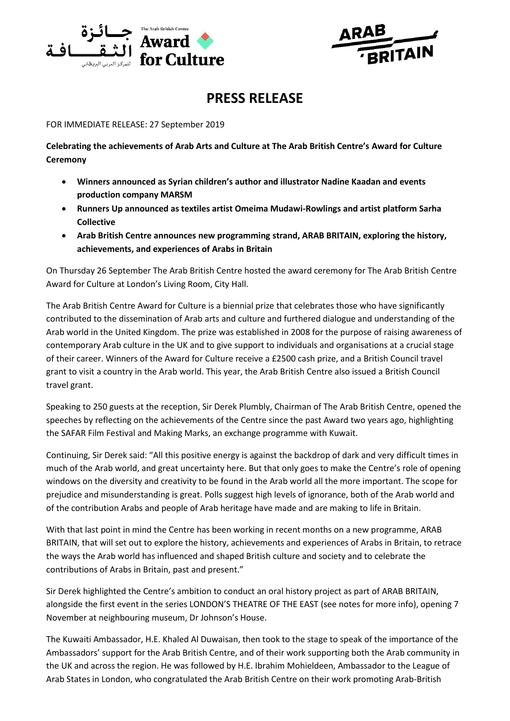



# **PRESS RELEASE**

FOR IMMEDIATE RELEASE: 27 September 2019

**Celebrating the achievements of Arab Arts and Culture at The Arab British Centre's Award for Culture Ceremony**

- **Winners announced as Syrian children's author and illustrator Nadine Kaadan and events production company MARSM**
- **Runners Up announced as textiles artist Omeima Mudawi-Rowlings and artist platform Sarha Collective**
- **Arab British Centre announces new programming strand, ARAB BRITAIN, exploring the history, achievements, and experiences of Arabs in Britain**

On Thursday 26 September The Arab British Centre hosted the award ceremony for The Arab British Centre Award for Culture at London's Living Room, City Hall.

The Arab British Centre Award for Culture is a biennial prize that celebrates those who have significantly contributed to the dissemination of Arab arts and culture and furthered dialogue and understanding of the Arab world in the United Kingdom. The prize was established in 2008 for the purpose of raising awareness of contemporary Arab culture in the UK and to give support to individuals and organisations at a crucial stage of their career. Winners of the Award for Culture receive a £2500 cash prize, and a British Council travel grant to visit a country in the Arab world. This year, the Arab British Centre also issued a British Council travel grant.

Speaking to 250 guests at the reception, Sir Derek Plumbly, Chairman of The Arab British Centre, opened the speeches by reflecting on the achievements of the Centre since the past Award two years ago, highlighting the SAFAR Film Festival and Making Marks, an exchange programme with Kuwait.

Continuing, Sir Derek said: "All this positive energy is against the backdrop of dark and very difficult times in much of the Arab world, and great uncertainty here. But that only goes to make the Centre's role of opening windows on the diversity and creativity to be found in the Arab world all the more important. The scope for prejudice and misunderstanding is great. Polls suggest high levels of ignorance, both of the Arab world and of the contribution Arabs and people of Arab heritage have made and are making to life in Britain.

With that last point in mind the Centre has been working in recent months on a new programme, ARAB BRITAIN, that will set out to explore the history, achievements and experiences of Arabs in Britain, to retrace the ways the Arab world has influenced and shaped British culture and society and to celebrate the contributions of Arabs in Britain, past and present."

Sir Derek highlighted the Centre's ambition to conduct an oral history project as part of ARAB BRITAIN, alongside the first event in the series LONDON'S THEATRE OF THE EAST (see notes for more info), opening 7 November at neighbouring museum, Dr Johnson's House.

The Kuwaiti Ambassador, H.E. Khaled Al Duwaisan, then took to the stage to speak of the importance of the Ambassadors' support for the Arab British Centre, and of their work supporting both the Arab community in the UK and across the region. He was followed by H.E. Ibrahim Mohieldeen, Ambassador to the League of Arab States in London, who congratulated the Arab British Centre on their work promoting Arab-British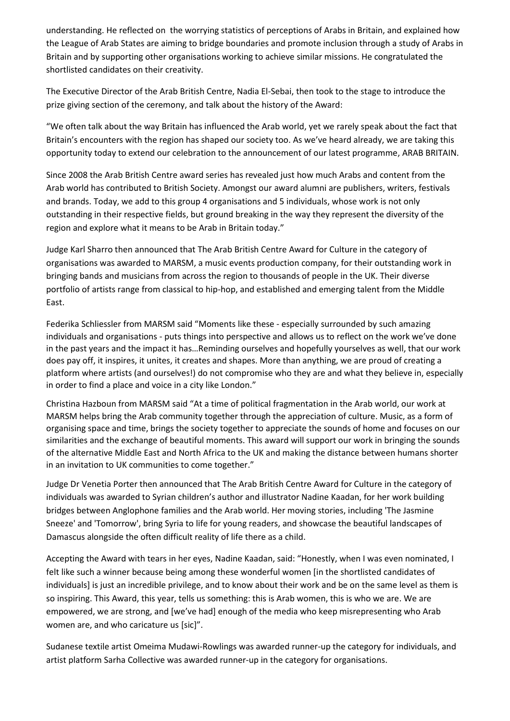understanding. He reflected on the worrying statistics of perceptions of Arabs in Britain, and explained how the League of Arab States are aiming to bridge boundaries and promote inclusion through a study of Arabs in Britain and by supporting other organisations working to achieve similar missions. He congratulated the shortlisted candidates on their creativity.

The Executive Director of the Arab British Centre, Nadia El-Sebai, then took to the stage to introduce the prize giving section of the ceremony, and talk about the history of the Award:

"We often talk about the way Britain has influenced the Arab world, yet we rarely speak about the fact that Britain's encounters with the region has shaped our society too. As we've heard already, we are taking this opportunity today to extend our celebration to the announcement of our latest programme, ARAB BRITAIN.

Since 2008 the Arab British Centre award series has revealed just how much Arabs and content from the Arab world has contributed to British Society. Amongst our award alumni are publishers, writers, festivals and brands. Today, we add to this group 4 organisations and 5 individuals, whose work is not only outstanding in their respective fields, but ground breaking in the way they represent the diversity of the region and explore what it means to be Arab in Britain today."

Judge Karl Sharro then announced that The Arab British Centre Award for Culture in the category of organisations was awarded to MARSM, a music events production company, for their outstanding work in bringing bands and musicians from across the region to thousands of people in the UK. Their diverse portfolio of artists range from classical to hip-hop, and established and emerging talent from the Middle East.

Federika Schliessler from MARSM said "Moments like these - especially surrounded by such amazing individuals and organisations - puts things into perspective and allows us to reflect on the work we've done in the past years and the impact it has…Reminding ourselves and hopefully yourselves as well, that our work does pay off, it inspires, it unites, it creates and shapes. More than anything, we are proud of creating a platform where artists (and ourselves!) do not compromise who they are and what they believe in, especially in order to find a place and voice in a city like London."

Christina Hazboun from MARSM said "At a time of political fragmentation in the Arab world, our work at MARSM helps bring the Arab community together through the appreciation of culture. Music, as a form of organising space and time, brings the society together to appreciate the sounds of home and focuses on our similarities and the exchange of beautiful moments. This award will support our work in bringing the sounds of the alternative Middle East and North Africa to the UK and making the distance between humans shorter in an invitation to UK communities to come together."

Judge Dr Venetia Porter then announced that The Arab British Centre Award for Culture in the category of individuals was awarded to Syrian children's author and illustrator Nadine Kaadan, for her work building bridges between Anglophone families and the Arab world. Her moving stories, including 'The Jasmine Sneeze' and 'Tomorrow', bring Syria to life for young readers, and showcase the beautiful landscapes of Damascus alongside the often difficult reality of life there as a child.

Accepting the Award with tears in her eyes, Nadine Kaadan, said: "Honestly, when I was even nominated, I felt like such a winner because being among these wonderful women [in the shortlisted candidates of individuals] is just an incredible privilege, and to know about their work and be on the same level as them is so inspiring. This Award, this year, tells us something: this is Arab women, this is who we are. We are empowered, we are strong, and [we've had] enough of the media who keep misrepresenting who Arab women are, and who caricature us [sic]".

Sudanese textile artist Omeima Mudawi-Rowlings was awarded runner-up the category for individuals, and artist platform Sarha Collective was awarded runner-up in the category for organisations.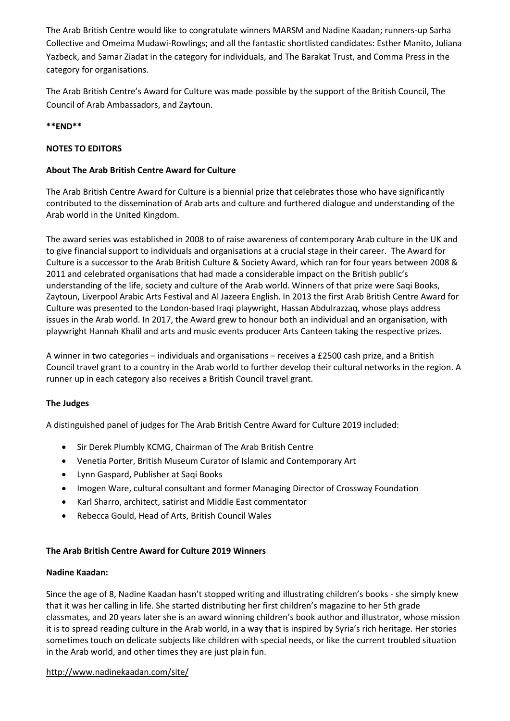The Arab British Centre would like to congratulate winners MARSM and Nadine Kaadan; runners-up Sarha Collective and Omeima Mudawi-Rowlings; and all the fantastic shortlisted candidates: Esther Manito, Juliana Yazbeck, and Samar Ziadat in the category for individuals, and The Barakat Trust, and Comma Press in the category for organisations.

The Arab British Centre's Award for Culture was made possible by the support of the British Council, The Council of Arab Ambassadors, and Zaytoun.

# **\*\*END\*\***

# **NOTES TO EDITORS**

# **About The Arab British Centre Award for Culture**

The Arab British Centre Award for Culture is a biennial prize that celebrates those who have significantly contributed to the dissemination of Arab arts and culture and furthered dialogue and understanding of the Arab world in the United Kingdom.

The award series was established in 2008 to of raise awareness of contemporary Arab culture in the UK and to give financial support to individuals and organisations at a crucial stage in their career. The Award for Culture is a successor to the Arab British Culture & Society Award, which ran for four years between 2008 & 2011 and celebrated organisations that had made a considerable impact on the British public's understanding of the life, society and culture of the Arab world. Winners of that prize were Saqi Books, Zaytoun, Liverpool Arabic Arts Festival and Al Jazeera English. In 2013 the first Arab British Centre Award for Culture was presented to the London-based Iraqi playwright, Hassan Abdulrazzaq, whose plays address issues in the Arab world. In 2017, the Award grew to honour both an individual and an organisation, with playwright Hannah Khalil and arts and music events producer Arts Canteen taking the respective prizes.

A winner in two categories – individuals and organisations – receives a £2500 cash prize, and a British Council travel grant to a country in the Arab world to further develop their cultural networks in the region. A runner up in each category also receives a British Council travel grant.

## **The Judges**

A distinguished panel of judges for The Arab British Centre Award for Culture 2019 included:

- Sir Derek Plumbly KCMG, Chairman of The Arab British Centre
- Venetia Porter, British Museum Curator of Islamic and Contemporary Art
- Lynn Gaspard, Publisher at Saqi Books
- Imogen Ware, cultural consultant and former Managing Director of Crossway Foundation
- Karl Sharro, architect, satirist and Middle East commentator
- Rebecca Gould, Head of Arts, British Council Wales

## **The Arab British Centre Award for Culture 2019 Winners**

## **Nadine Kaadan:**

Since the age of 8, Nadine Kaadan hasn't stopped writing and illustrating children's books - she simply knew that it was her calling in life. She started distributing her first children's magazine to her 5th grade classmates, and 20 years later she is an award winning children's book author and illustrator, whose mission it is to spread reading culture in the Arab world, in a way that is inspired by Syria's rich heritage. Her stories sometimes touch on delicate subjects like children with special needs, or like the current troubled situation in the Arab world, and other times they are just plain fun.

## <http://www.nadinekaadan.com/site/>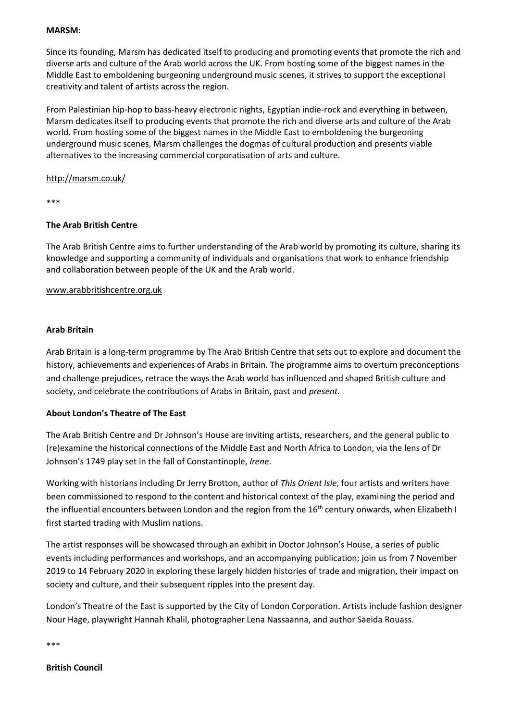#### **MARSM:**

Since its founding, Marsm has dedicated itself to producing and promoting events that promote the rich and diverse arts and culture of the Arab world across the UK. From hosting some of the biggest names in the Middle East to emboldening burgeoning underground music scenes, it strives to support the exceptional creativity and talent of artists across the region.

From Palestinian hip-hop to bass-heavy electronic nights, Egyptian indie-rock and everything in between, Marsm dedicates itself to producing events that promote the rich and diverse arts and culture of the Arab world. From hosting some of the biggest names in the Middle East to emboldening the burgeoning underground music scenes, Marsm challenges the dogmas of cultural production and presents viable alternatives to the increasing commercial corporatisation of arts and culture.

## <http://marsm.co.uk/>

\*\*\*

## **The Arab British Centre**

The Arab British Centre aims to further understanding of the Arab world by promoting its culture, sharing its knowledge and supporting a community of individuals and organisations that work to enhance friendship and collaboration between people of the UK and the Arab world.

## [www.arabbritishcentre.org.uk](http://www.arabbritishcentre.org.uk/)

#### **Arab Britain**

Arab Britain is a long-term programme by The Arab British Centre that sets out to explore and document the history, achievements and experiences of Arabs in Britain. The programme aims to overturn preconceptions and challenge prejudices, retrace the ways the Arab world has influenced and shaped British culture and society, and celebrate the contributions of Arabs in Britain, past and *present.*

## **About London's Theatre of The East**

The Arab British Centre and Dr Johnson's House are inviting artists, researchers, and the general public to (re)examine the historical connections of the Middle East and North Africa to London, via the lens of Dr Johnson's 1749 play set in the fall of Constantinople, *Irene*.

Working with historians including Dr Jerry Brotton, author of *This Orient Isle*, four artists and writers have been commissioned to respond to the content and historical context of the play, examining the period and the influential encounters between London and the region from the 16<sup>th</sup> century onwards, when Elizabeth I first started trading with Muslim nations.

The artist responses will be showcased through an exhibit in Doctor Johnson's House, a series of public events including performances and workshops, and an accompanying publication; join us from 7 November 2019 to 14 February 2020 in exploring these largely hidden histories of trade and migration, their impact on society and culture, and their subsequent ripples into the present day.

London's Theatre of the East is supported by the City of London Corporation. Artists include fashion designer Nour Hage, playwright Hannah Khalil, photographer Lena Nassaanna, and author Saeida Rouass.

\*\*\*